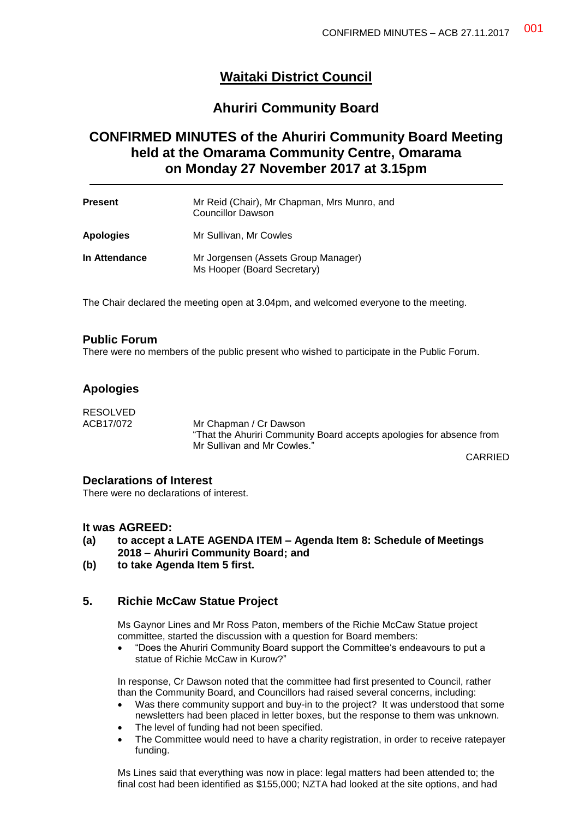# **Waitaki District Council**

# **Ahuriri Community Board**

# **CONFIRMED MINUTES of the Ahuriri Community Board Meeting held at the Omarama Community Centre, Omarama on Monday 27 November 2017 at 3.15pm**

| Present          | Mr Reid (Chair), Mr Chapman, Mrs Munro, and<br><b>Councillor Dawson</b> |
|------------------|-------------------------------------------------------------------------|
| <b>Apologies</b> | Mr Sullivan, Mr Cowles                                                  |
| In Attendance    | Mr Jorgensen (Assets Group Manager)<br>Ms Hooper (Board Secretary)      |

The Chair declared the meeting open at 3.04pm, and welcomed everyone to the meeting.

### **Public Forum**

There were no members of the public present who wished to participate in the Public Forum.

## **Apologies**

RESOLVED<br>ACB17/072 Mr Chapman / Cr Dawson "That the Ahuriri Community Board accepts apologies for absence from Mr Sullivan and Mr Cowles."

CARRIED

#### **Declarations of Interest**

There were no declarations of interest.

### **It was AGREED:**

- **(a) to accept a LATE AGENDA ITEM – Agenda Item 8: Schedule of Meetings 2018 – Ahuriri Community Board; and**
- **(b) to take Agenda Item 5 first.**

# **5. Richie McCaw Statue Project**

Ms Gaynor Lines and Mr Ross Paton, members of the Richie McCaw Statue project committee, started the discussion with a question for Board members:

 "Does the Ahuriri Community Board support the Committee's endeavours to put a statue of Richie McCaw in Kurow?"

In response, Cr Dawson noted that the committee had first presented to Council, rather than the Community Board, and Councillors had raised several concerns, including:

- Was there community support and buy-in to the project? It was understood that some newsletters had been placed in letter boxes, but the response to them was unknown.
- The level of funding had not been specified.
- The Committee would need to have a charity registration, in order to receive ratepayer funding.

Ms Lines said that everything was now in place: legal matters had been attended to; the final cost had been identified as \$155,000; NZTA had looked at the site options, and had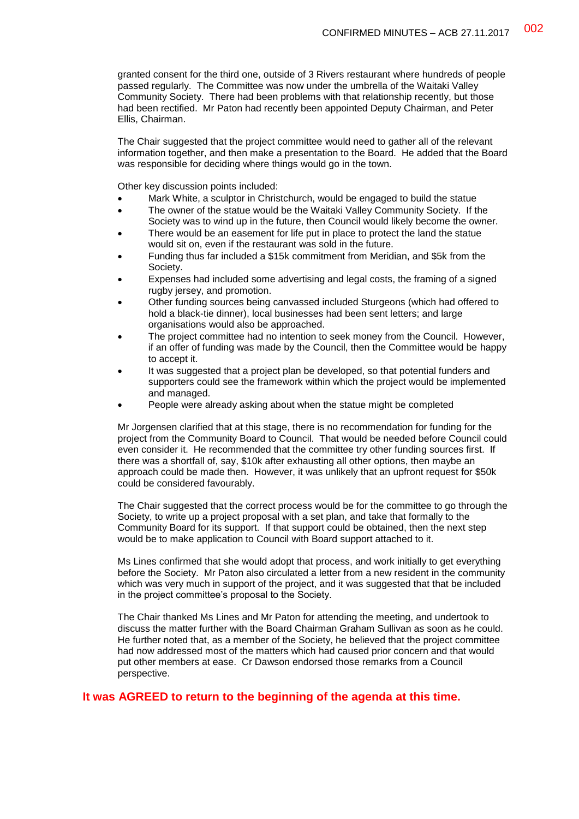granted consent for the third one, outside of 3 Rivers restaurant where hundreds of people passed regularly. The Committee was now under the umbrella of the Waitaki Valley Community Society. There had been problems with that relationship recently, but those had been rectified. Mr Paton had recently been appointed Deputy Chairman, and Peter Ellis, Chairman.

The Chair suggested that the project committee would need to gather all of the relevant information together, and then make a presentation to the Board. He added that the Board was responsible for deciding where things would go in the town.

Other key discussion points included:

- Mark White, a sculptor in Christchurch, would be engaged to build the statue
- The owner of the statue would be the Waitaki Valley Community Society. If the Society was to wind up in the future, then Council would likely become the owner.
- There would be an easement for life put in place to protect the land the statue would sit on, even if the restaurant was sold in the future.
- Funding thus far included a \$15k commitment from Meridian, and \$5k from the Society.
- Expenses had included some advertising and legal costs, the framing of a signed rugby jersey, and promotion.
- Other funding sources being canvassed included Sturgeons (which had offered to hold a black-tie dinner), local businesses had been sent letters; and large organisations would also be approached.
- The project committee had no intention to seek money from the Council. However, if an offer of funding was made by the Council, then the Committee would be happy to accept it.
- It was suggested that a project plan be developed, so that potential funders and supporters could see the framework within which the project would be implemented and managed.
- People were already asking about when the statue might be completed

Mr Jorgensen clarified that at this stage, there is no recommendation for funding for the project from the Community Board to Council. That would be needed before Council could even consider it. He recommended that the committee try other funding sources first. If there was a shortfall of, say, \$10k after exhausting all other options, then maybe an approach could be made then. However, it was unlikely that an upfront request for \$50k could be considered favourably.

The Chair suggested that the correct process would be for the committee to go through the Society, to write up a project proposal with a set plan, and take that formally to the Community Board for its support. If that support could be obtained, then the next step would be to make application to Council with Board support attached to it.

Ms Lines confirmed that she would adopt that process, and work initially to get everything before the Society. Mr Paton also circulated a letter from a new resident in the community which was very much in support of the project, and it was suggested that that be included in the project committee's proposal to the Society.

The Chair thanked Ms Lines and Mr Paton for attending the meeting, and undertook to discuss the matter further with the Board Chairman Graham Sullivan as soon as he could. He further noted that, as a member of the Society, he believed that the project committee had now addressed most of the matters which had caused prior concern and that would put other members at ease. Cr Dawson endorsed those remarks from a Council perspective.

#### **It was AGREED to return to the beginning of the agenda at this time.**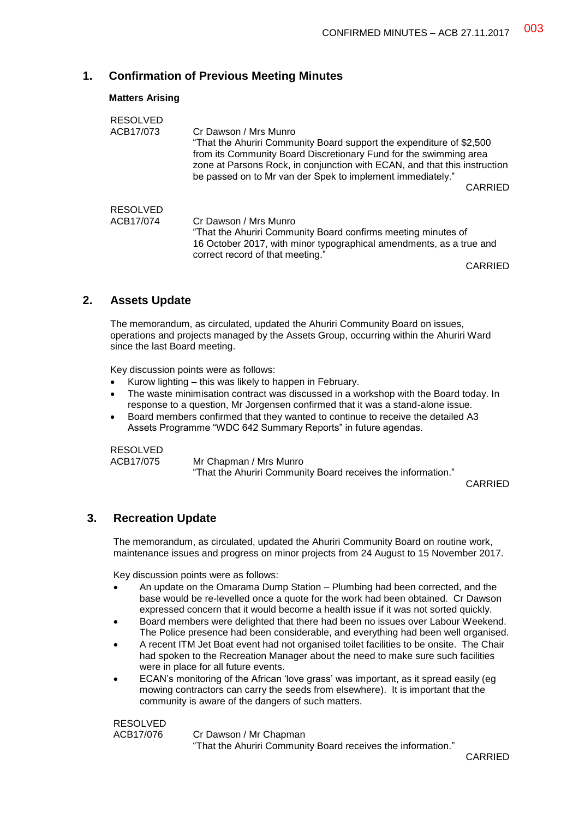# **1. Confirmation of Previous Meeting Minutes**

#### **Matters Arising**

| <b>RESOLVED</b> |                                                                           |
|-----------------|---------------------------------------------------------------------------|
| ACB17/073       | Cr Dawson / Mrs Munro                                                     |
|                 | "That the Ahuriri Community Board support the expenditure of \$2,500      |
|                 | from its Community Board Discretionary Fund for the swimming area         |
|                 | zone at Parsons Rock, in conjunction with ECAN, and that this instruction |
|                 | be passed on to Mr van der Spek to implement immediately."                |
|                 | <b>CARRIED</b>                                                            |
|                 |                                                                           |
| <b>RESOLVED</b> |                                                                           |
| ACB17/074       | Cr Dawson / Mrs Munro                                                     |
|                 | "That the Ahuriri Community Board confirms meeting minutes of             |
|                 | 16 October 2017, with minor typographical amendments, as a true and       |
|                 | correct record of that meeting."                                          |
|                 |                                                                           |

CARRIED

### **2. Assets Update**

The memorandum, as circulated, updated the Ahuriri Community Board on issues, operations and projects managed by the Assets Group, occurring within the Ahuriri Ward since the last Board meeting.

Key discussion points were as follows:

- Kurow lighting this was likely to happen in February.
- The waste minimisation contract was discussed in a workshop with the Board today. In response to a question, Mr Jorgensen confirmed that it was a stand-alone issue.
- Board members confirmed that they wanted to continue to receive the detailed A3 Assets Programme "WDC 642 Summary Reports" in future agendas.

RESOLVED

ACB17/075 Mr Chapman / Mrs Munro

"That the Ahuriri Community Board receives the information."

CARRIED

## **3. Recreation Update**

The memorandum, as circulated, updated the Ahuriri Community Board on routine work, maintenance issues and progress on minor projects from 24 August to 15 November 2017.

Key discussion points were as follows:

- An update on the Omarama Dump Station Plumbing had been corrected, and the base would be re-levelled once a quote for the work had been obtained. Cr Dawson expressed concern that it would become a health issue if it was not sorted quickly.
- Board members were delighted that there had been no issues over Labour Weekend. The Police presence had been considerable, and everything had been well organised.
- A recent ITM Jet Boat event had not organised toilet facilities to be onsite. The Chair had spoken to the Recreation Manager about the need to make sure such facilities were in place for all future events.
- ECAN's monitoring of the African 'love grass' was important, as it spread easily (eg mowing contractors can carry the seeds from elsewhere). It is important that the community is aware of the dangers of such matters.

RESOLVED

ACB17/076 Cr Dawson / Mr Chapman

"That the Ahuriri Community Board receives the information."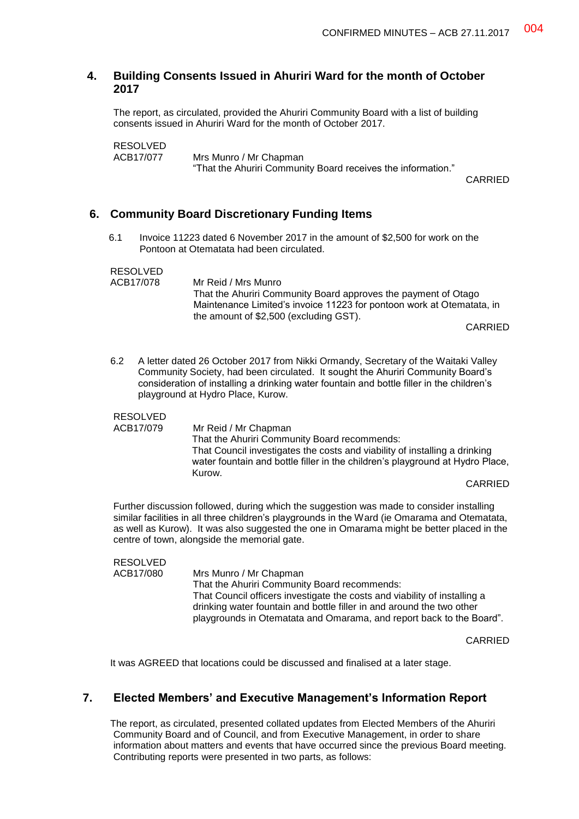#### **4. Building Consents Issued in Ahuriri Ward for the month of October 2017**

The report, as circulated, provided the Ahuriri Community Board with a list of building consents issued in Ahuriri Ward for the month of October 2017.

RESOLVED<br>ACB17/077 Mrs Munro / Mr Chapman "That the Ahuriri Community Board receives the information."

CARRIED

#### **6. Community Board Discretionary Funding Items**

6.1 Invoice 11223 dated 6 November 2017 in the amount of \$2,500 for work on the Pontoon at Otematata had been circulated.

RESOLVED

| 11 LUUL V LU |                                                                       |
|--------------|-----------------------------------------------------------------------|
| ACB17/078    | Mr Reid / Mrs Munro                                                   |
|              | That the Ahuriri Community Board approves the payment of Otago        |
|              | Maintenance Limited's invoice 11223 for pontoon work at Otematata, in |
|              | the amount of \$2,500 (excluding GST).                                |
|              | CARRIED                                                               |

6.2 A letter dated 26 October 2017 from Nikki Ormandy, Secretary of the Waitaki Valley Community Society, had been circulated. It sought the Ahuriri Community Board's consideration of installing a drinking water fountain and bottle filler in the children's playground at Hydro Place, Kurow.

#### RESOLVED

ACB17/079 Mr Reid / Mr Chapman That the Ahuriri Community Board recommends: That Council investigates the costs and viability of installing a drinking water fountain and bottle filler in the children's playground at Hydro Place, Kurow.

CARRIED

Further discussion followed, during which the suggestion was made to consider installing similar facilities in all three children's playgrounds in the Ward (ie Omarama and Otematata, as well as Kurow). It was also suggested the one in Omarama might be better placed in the centre of town, alongside the memorial gate.

### RESOLVED

ACB17/080 Mrs Munro / Mr Chapman That the Ahuriri Community Board recommends: That Council officers investigate the costs and viability of installing a drinking water fountain and bottle filler in and around the two other playgrounds in Otematata and Omarama, and report back to the Board".

CARRIED

It was AGREED that locations could be discussed and finalised at a later stage.

### **7. Elected Members' and Executive Management's Information Report**

The report, as circulated, presented collated updates from Elected Members of the Ahuriri Community Board and of Council, and from Executive Management, in order to share information about matters and events that have occurred since the previous Board meeting. Contributing reports were presented in two parts, as follows: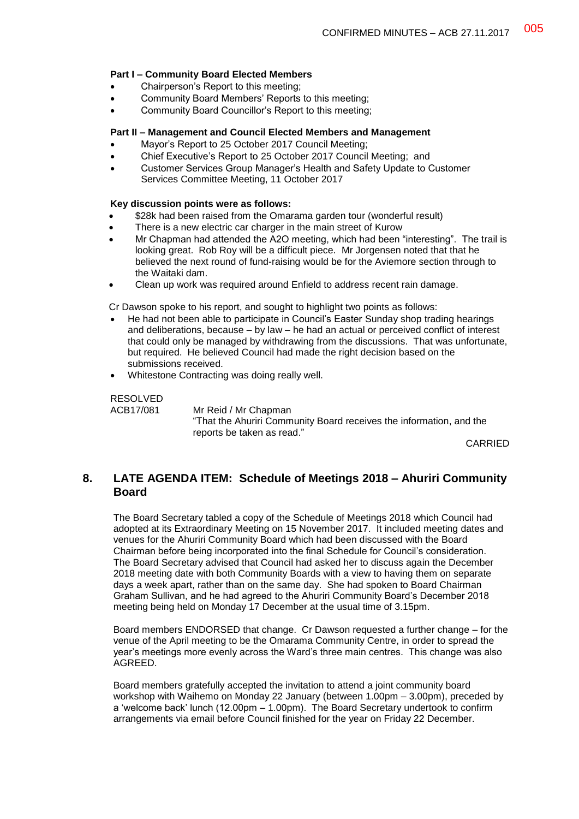#### **Part I – Community Board Elected Members**

- Chairperson's Report to this meeting;
- Community Board Members' Reports to this meeting;
- Community Board Councillor's Report to this meeting;

#### **Part II – Management and Council Elected Members and Management**

- Mayor's Report to 25 October 2017 Council Meeting;
- Chief Executive's Report to 25 October 2017 Council Meeting; and
- Customer Services Group Manager's Health and Safety Update to Customer Services Committee Meeting, 11 October 2017

#### **Key discussion points were as follows:**

- \$28k had been raised from the Omarama garden tour (wonderful result)
- There is a new electric car charger in the main street of Kurow
- Mr Chapman had attended the A2O meeting, which had been "interesting". The trail is looking great. Rob Roy will be a difficult piece. Mr Jorgensen noted that that he believed the next round of fund-raising would be for the Aviemore section through to the Waitaki dam.
- Clean up work was required around Enfield to address recent rain damage.

Cr Dawson spoke to his report, and sought to highlight two points as follows:

- He had not been able to participate in Council's Easter Sunday shop trading hearings and deliberations, because – by law – he had an actual or perceived conflict of interest that could only be managed by withdrawing from the discussions. That was unfortunate, but required. He believed Council had made the right decision based on the submissions received.
- Whitestone Contracting was doing really well.

RESOLVED

ACB17/081 Mr Reid / Mr Chapman "That the Ahuriri Community Board receives the information, and the reports be taken as read."

CARRIED

## **8. LATE AGENDA ITEM: Schedule of Meetings 2018 – Ahuriri Community Board**

The Board Secretary tabled a copy of the Schedule of Meetings 2018 which Council had adopted at its Extraordinary Meeting on 15 November 2017. It included meeting dates and venues for the Ahuriri Community Board which had been discussed with the Board Chairman before being incorporated into the final Schedule for Council's consideration. The Board Secretary advised that Council had asked her to discuss again the December 2018 meeting date with both Community Boards with a view to having them on separate days a week apart, rather than on the same day. She had spoken to Board Chairman Graham Sullivan, and he had agreed to the Ahuriri Community Board's December 2018 meeting being held on Monday 17 December at the usual time of 3.15pm.

Board members ENDORSED that change. Cr Dawson requested a further change – for the venue of the April meeting to be the Omarama Community Centre, in order to spread the year's meetings more evenly across the Ward's three main centres. This change was also AGREED.

Board members gratefully accepted the invitation to attend a joint community board workshop with Waihemo on Monday 22 January (between 1.00pm – 3.00pm), preceded by a 'welcome back' lunch (12.00pm – 1.00pm). The Board Secretary undertook to confirm arrangements via email before Council finished for the year on Friday 22 December.